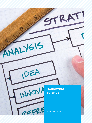# **MARKETING SCIENCE**

TRATI

**BACHELOR, 3 YEARS**

NALYSIS

JOEA

WOVH

OFFRE